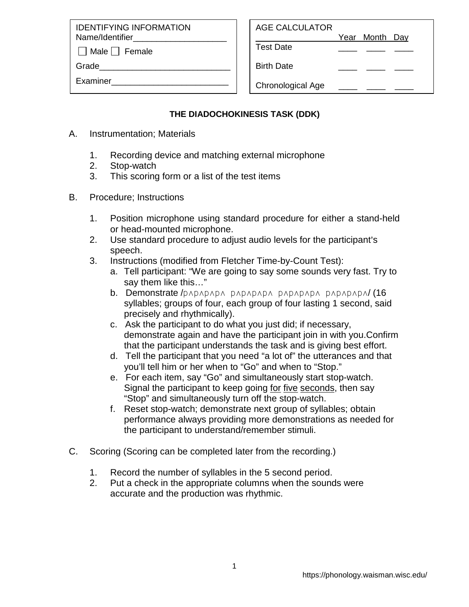IDENTIFYING INFORMATION Name/Identifier

 $\Box$  Male  $\Box$  Female

Grade

Examiner\_\_\_\_\_\_\_\_\_\_\_\_\_\_\_\_\_\_\_\_\_\_\_\_\_

Year Month Day

Test Date \_\_\_\_ \_\_\_\_ \_\_\_\_

Birth Date

Chronological Age

## **THE DIADOCHOKINESIS TASK (DDK)**

- A. Instrumentation; Materials
	- 1. Recording device and matching external microphone
	- 2. Stop-watch
	- 3. This scoring form or a list of the test items
- B. Procedure; Instructions
	- 1. Position microphone using standard procedure for either a stand-held or head-mounted microphone.
	- 2. Use standard procedure to adjust audio levels for the participant's speech.
	- 3. Instructions (modified from Fletcher Time-by-Count Test):
		- a. Tell participant: "We are going to say some sounds very fast. Try to say them like this…"
		- b. Demonstrate /p4p4p4p4 p4p4p4p4 p4p4p4p4 p4p4p4p4/ (16 syllables; groups of four, each group of four lasting 1 second, said precisely and rhythmically).
		- c. Ask the participant to do what you just did; if necessary, demonstrate again and have the participant join in with you.Confirm that the participant understands the task and is giving best effort.
		- d. Tell the participant that you need "a lot of" the utterances and that you'll tell him or her when to "Go" and when to "Stop."
		- e. For each item, say "Go" and simultaneously start stop-watch. Signal the participant to keep going for five seconds, then say "Stop" and simultaneously turn off the stop-watch.
		- f. Reset stop-watch; demonstrate next group of syllables; obtain performance always providing more demonstrations as needed for the participant to understand/remember stimuli.
- C. Scoring (Scoring can be completed later from the recording.)
	- 1. Record the number of syllables in the 5 second period.
	- 2. Put a check in the appropriate columns when the sounds were accurate and the production was rhythmic.